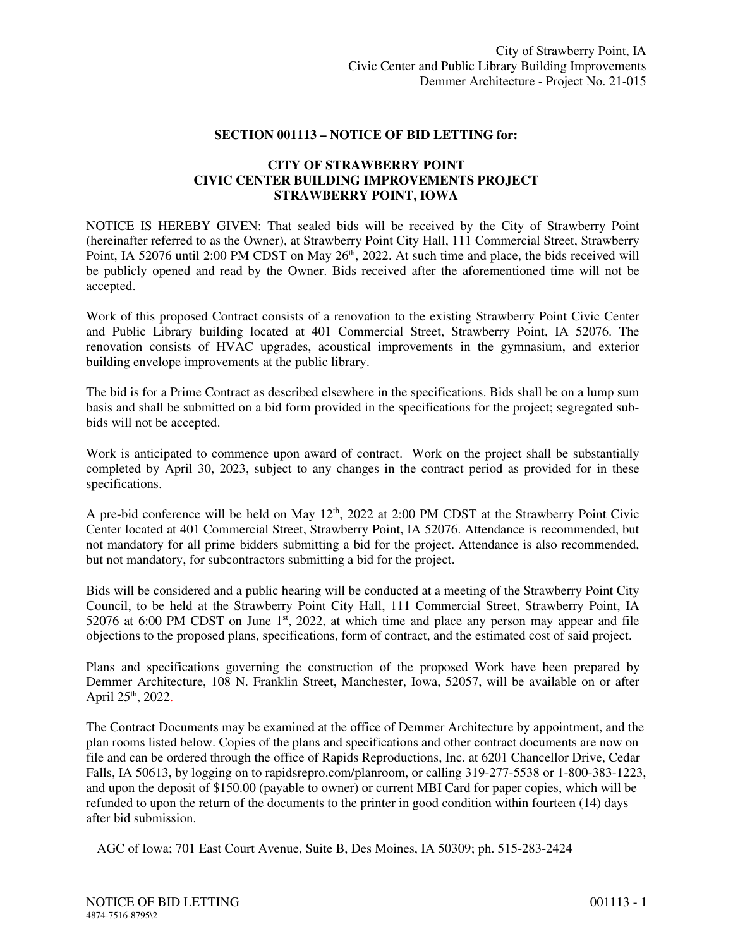## **SECTION 001113 – NOTICE OF BID LETTING for:**

## **CITY OF STRAWBERRY POINT CIVIC CENTER BUILDING IMPROVEMENTS PROJECT STRAWBERRY POINT, IOWA**

NOTICE IS HEREBY GIVEN: That sealed bids will be received by the City of Strawberry Point (hereinafter referred to as the Owner), at Strawberry Point City Hall, 111 Commercial Street, Strawberry Point, IA 52076 until 2:00 PM CDST on May 26<sup>th</sup>, 2022. At such time and place, the bids received will be publicly opened and read by the Owner. Bids received after the aforementioned time will not be accepted.

Work of this proposed Contract consists of a renovation to the existing Strawberry Point Civic Center and Public Library building located at 401 Commercial Street, Strawberry Point, IA 52076. The renovation consists of HVAC upgrades, acoustical improvements in the gymnasium, and exterior building envelope improvements at the public library.

The bid is for a Prime Contract as described elsewhere in the specifications. Bids shall be on a lump sum basis and shall be submitted on a bid form provided in the specifications for the project; segregated subbids will not be accepted.

Work is anticipated to commence upon award of contract. Work on the project shall be substantially completed by April 30, 2023, subject to any changes in the contract period as provided for in these specifications.

A pre-bid conference will be held on May 12<sup>th</sup>, 2022 at 2:00 PM CDST at the Strawberry Point Civic Center located at 401 Commercial Street, Strawberry Point, IA 52076. Attendance is recommended, but not mandatory for all prime bidders submitting a bid for the project. Attendance is also recommended, but not mandatory, for subcontractors submitting a bid for the project.

Bids will be considered and a public hearing will be conducted at a meeting of the Strawberry Point City Council, to be held at the Strawberry Point City Hall, 111 Commercial Street, Strawberry Point, IA 52076 at 6:00 PM CDST on June  $1<sup>st</sup>$ , 2022, at which time and place any person may appear and file objections to the proposed plans, specifications, form of contract, and the estimated cost of said project.

Plans and specifications governing the construction of the proposed Work have been prepared by Demmer Architecture, 108 N. Franklin Street, Manchester, Iowa, 52057, will be available on or after April 25<sup>th</sup>, 2022.

The Contract Documents may be examined at the office of Demmer Architecture by appointment, and the plan rooms listed below. Copies of the plans and specifications and other contract documents are now on file and can be ordered through the office of Rapids Reproductions, Inc. at 6201 Chancellor Drive, Cedar Falls, IA 50613, by logging on to rapidsrepro.com/planroom, or calling 319-277-5538 or 1-800-383-1223, and upon the deposit of \$150.00 (payable to owner) or current MBI Card for paper copies, which will be refunded to upon the return of the documents to the printer in good condition within fourteen (14) days after bid submission.

AGC of Iowa; 701 East Court Avenue, Suite B, Des Moines, IA 50309; ph. 515-283-2424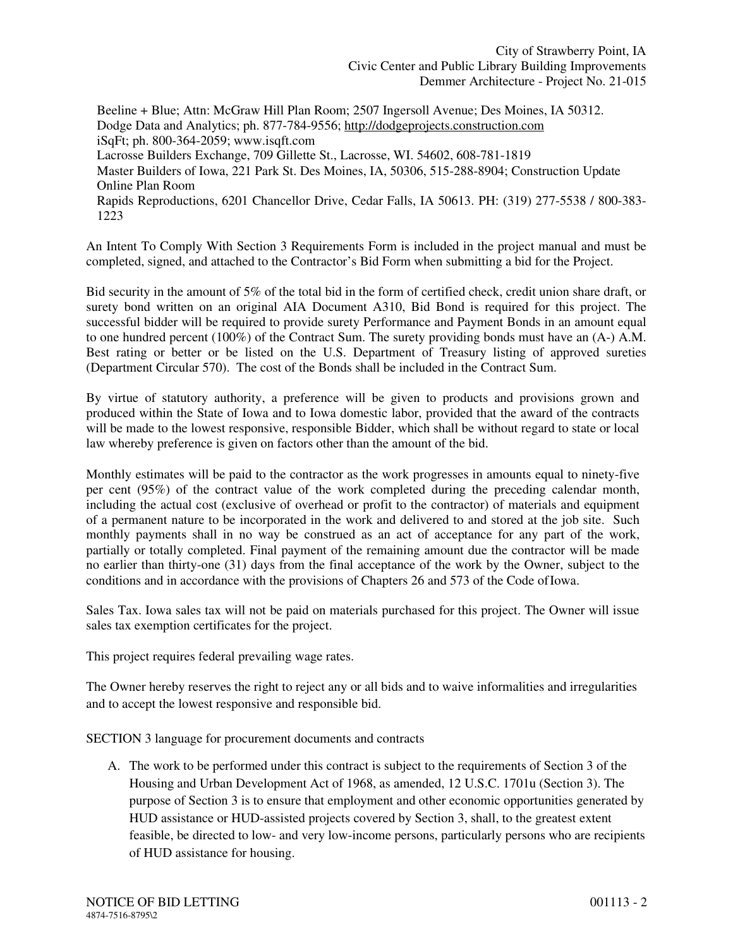Beeline + Blue; Attn: McGraw Hill Plan Room; 2507 Ingersoll Avenue; Des Moines, IA 50312. Dodge Data and Analytics; ph. 877-784-9556; http://dodgeprojects.construction.com iSqFt; ph. 800-364-2059; www.isqft.com Lacrosse Builders Exchange, 709 Gillette St., Lacrosse, WI. 54602, 608-781-1819 Master Builders of Iowa, 221 Park St. Des Moines, IA, 50306, 515-288-8904; Construction Update Online Plan Room Rapids Reproductions, 6201 Chancellor Drive, Cedar Falls, IA 50613. PH: (319) 277-5538 / 800-383- 1223

An Intent To Comply With Section 3 Requirements Form is included in the project manual and must be completed, signed, and attached to the Contractor's Bid Form when submitting a bid for the Project.

Bid security in the amount of 5% of the total bid in the form of certified check, credit union share draft, or surety bond written on an original AIA Document A310, Bid Bond is required for this project. The successful bidder will be required to provide surety Performance and Payment Bonds in an amount equal to one hundred percent (100%) of the Contract Sum. The surety providing bonds must have an (A-) A.M. Best rating or better or be listed on the U.S. Department of Treasury listing of approved sureties (Department Circular 570). The cost of the Bonds shall be included in the Contract Sum.

By virtue of statutory authority, a preference will be given to products and provisions grown and produced within the State of Iowa and to Iowa domestic labor, provided that the award of the contracts will be made to the lowest responsive, responsible Bidder, which shall be without regard to state or local law whereby preference is given on factors other than the amount of the bid.

Monthly estimates will be paid to the contractor as the work progresses in amounts equal to ninety-five per cent (95%) of the contract value of the work completed during the preceding calendar month, including the actual cost (exclusive of overhead or profit to the contractor) of materials and equipment of a permanent nature to be incorporated in the work and delivered to and stored at the job site. Such monthly payments shall in no way be construed as an act of acceptance for any part of the work, partially or totally completed. Final payment of the remaining amount due the contractor will be made no earlier than thirty-one (31) days from the final acceptance of the work by the Owner, subject to the conditions and in accordance with the provisions of Chapters 26 and 573 of the Code of Iowa.

Sales Tax. Iowa sales tax will not be paid on materials purchased for this project. The Owner will issue sales tax exemption certificates for the project.

This project requires federal prevailing wage rates.

The Owner hereby reserves the right to reject any or all bids and to waive informalities and irregularities and to accept the lowest responsive and responsible bid.

SECTION 3 language for procurement documents and contracts

A. The work to be performed under this contract is subject to the requirements of Section 3 of the Housing and Urban Development Act of 1968, as amended, 12 U.S.C. 1701u (Section 3). The purpose of Section 3 is to ensure that employment and other economic opportunities generated by HUD assistance or HUD-assisted projects covered by Section 3, shall, to the greatest extent feasible, be directed to low- and very low-income persons, particularly persons who are recipients of HUD assistance for housing.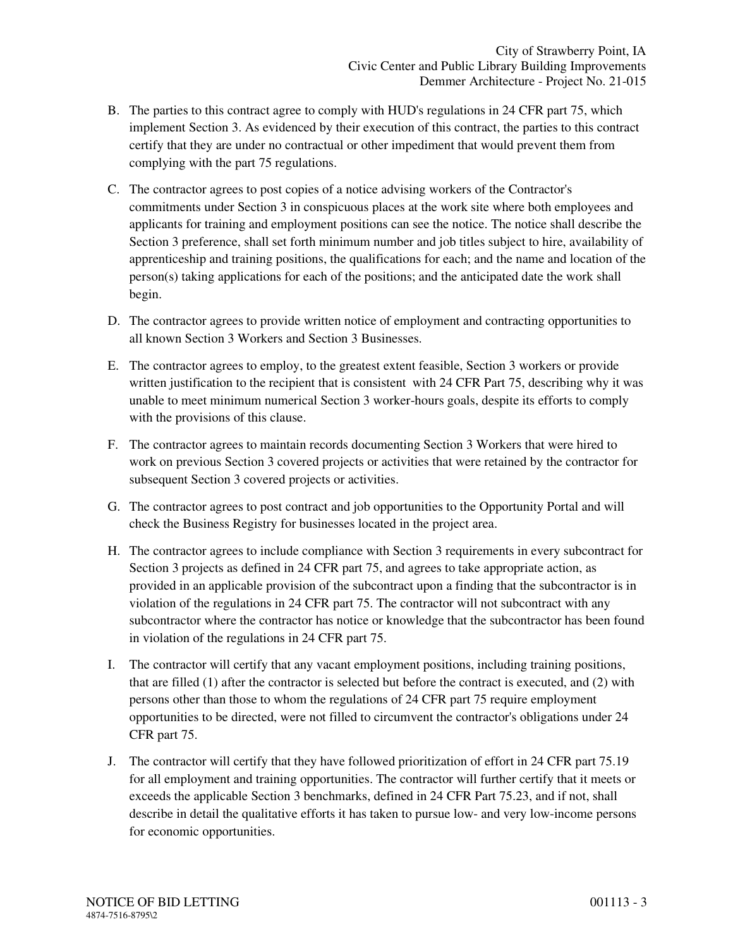- B. The parties to this contract agree to comply with HUD's regulations in 24 CFR part 75, which implement Section 3. As evidenced by their execution of this contract, the parties to this contract certify that they are under no contractual or other impediment that would prevent them from complying with the part 75 regulations.
- C. The contractor agrees to post copies of a notice advising workers of the Contractor's commitments under Section 3 in conspicuous places at the work site where both employees and applicants for training and employment positions can see the notice. The notice shall describe the Section 3 preference, shall set forth minimum number and job titles subject to hire, availability of apprenticeship and training positions, the qualifications for each; and the name and location of the person(s) taking applications for each of the positions; and the anticipated date the work shall begin.
- D. The contractor agrees to provide written notice of employment and contracting opportunities to all known Section 3 Workers and Section 3 Businesses.
- E. The contractor agrees to employ, to the greatest extent feasible, Section 3 workers or provide written justification to the recipient that is consistent with 24 CFR Part 75, describing why it was unable to meet minimum numerical Section 3 worker-hours goals, despite its efforts to comply with the provisions of this clause.
- F. The contractor agrees to maintain records documenting Section 3 Workers that were hired to work on previous Section 3 covered projects or activities that were retained by the contractor for subsequent Section 3 covered projects or activities.
- G. The contractor agrees to post contract and job opportunities to the Opportunity Portal and will check the Business Registry for businesses located in the project area.
- H. The contractor agrees to include compliance with Section 3 requirements in every subcontract for Section 3 projects as defined in 24 CFR part 75, and agrees to take appropriate action, as provided in an applicable provision of the subcontract upon a finding that the subcontractor is in violation of the regulations in 24 CFR part 75. The contractor will not subcontract with any subcontractor where the contractor has notice or knowledge that the subcontractor has been found in violation of the regulations in 24 CFR part 75.
- I. The contractor will certify that any vacant employment positions, including training positions, that are filled (1) after the contractor is selected but before the contract is executed, and (2) with persons other than those to whom the regulations of 24 CFR part 75 require employment opportunities to be directed, were not filled to circumvent the contractor's obligations under 24 CFR part 75.
- J. The contractor will certify that they have followed prioritization of effort in 24 CFR part 75.19 for all employment and training opportunities. The contractor will further certify that it meets or exceeds the applicable Section 3 benchmarks, defined in 24 CFR Part 75.23, and if not, shall describe in detail the qualitative efforts it has taken to pursue low- and very low-income persons for economic opportunities.